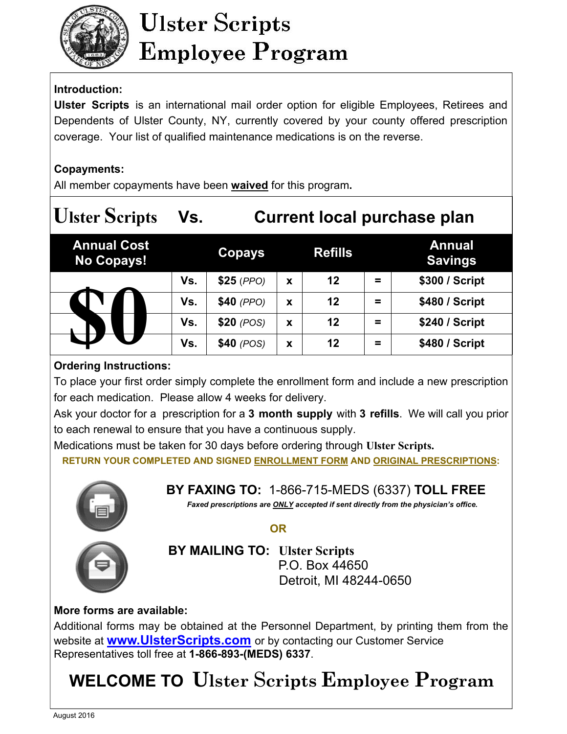

# **Ulster Scripts Employee Program**

# **Introduction:**

**Ulster Scripts** is an international mail order option for eligible Employees, Retirees and Dependents of Ulster County, NY, currently covered by your county offered prescription coverage. Your list of qualified maintenance medications is on the reverse.

## **Copayments:**

All member copayments have been **waived** for this program**.** 

| <b>Ulster Scripts</b>                   | Vs. | <b>Current local purchase plan</b> |   |                |          |                                 |
|-----------------------------------------|-----|------------------------------------|---|----------------|----------|---------------------------------|
| <b>Annual Cost</b><br><b>No Copays!</b> |     | Copays                             |   | <b>Refills</b> |          | <b>Annual</b><br><b>Savings</b> |
|                                         | Vs. | $$25$ (PPO)                        | X | 12             | $\equiv$ | \$300 / Script                  |
|                                         | Vs. | $$40$ (PPO)                        | X | 12             | =        | \$480 / Script                  |
|                                         | Vs. | $$20$ (POS)                        | X | 12             | $\equiv$ | \$240 / Script                  |
|                                         | Vs. | $$40$ (POS)                        | X | 12             | $\equiv$ | \$480 / Script                  |
|                                         |     |                                    |   |                |          |                                 |

## **Ordering Instructions:**

To place your first order simply complete the enrollment form and include a new prescription for each medication. Please allow 4 weeks for delivery.

Ask your doctor for a prescription for a **3 month supply** with **3 refills**. We will call you prior to each renewal to ensure that you have a continuous supply.

Medications must be taken for 30 days before ordering through **Ulster Scripts. RETURN YOUR COMPLETED AND SIGNED ENROLLMENT FORM AND ORIGINAL PRESCRIPTIONS:** 



**BY FAXING TO:** 1-866-715-MEDS (6337) **TOLL FREE**

*Faxed prescriptions are ONLY accepted if sent directly from the physician's office.* 

 *OR* OR



 **BY MAILING TO: Ulster Scripts** P.O. Box 44650 Detroit, MI 48244-0650

# **More forms are available:**

Additional forms may be obtained at the Personnel Department, by printing them from the website at **www.UlsterScripts.com** or by contacting our Customer Service Representatives toll free at **1-866-893-(MEDS) 6337**.

# **WELCOME TO Ulster** S**cripts Employee Program**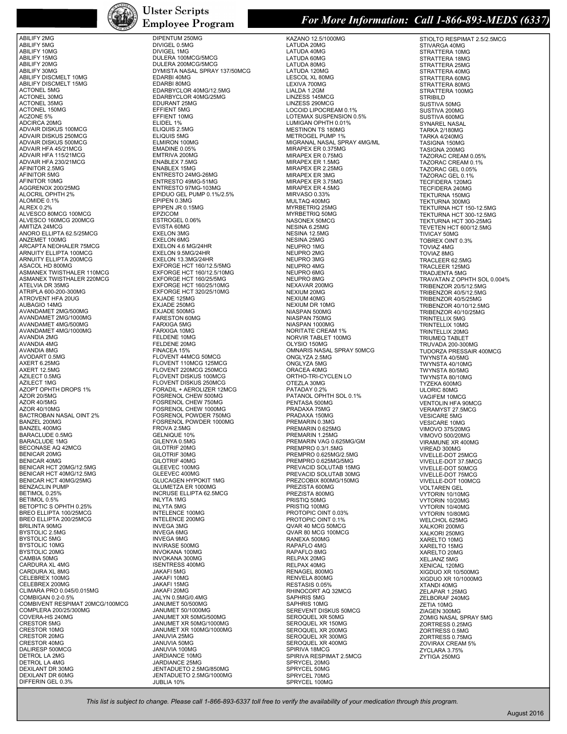

ABILIFY 2MG

ABILIFY 5MG ABILIFY 10MG ABILIFY 15MG ABILIFY 20MG ABILIFY 30MG ABILIFY DISCMELT 10MG ABILIFY DISCMELT 15MG ACTONEL 5MG ACTONEL 30MG ACTONEL 35MG ACTONEL 150MG ACZONE 5% ADCIRCA 20MG ADVAIR DISKUS 100MCG ADVAIR DISKUS 250MCG ADVAIR DISKUS 500MCG ADVAIR HFA 45/21MCG ADVAIR HFA 115/21MCG ADVAIR HFA 230/21MCG AFINITOR 2.5MG AFINITOR 5MG AFINITOR 10MG AGGRENOX 200/25MG ALOCRIL OPHTH 2% ALOMIDE 0.1% ALREX 0.2% ALVESCO 80MCG 100MCG ALVESCO 160MCG 200MCG AMITIZA 24MCG ANORO ELLIPTA 62.5/25MCG ANZEMET 100MG ARCAPTA NEOHALER 75MCG ARNUITY ELLIPTA 100MCG ARNUITY ELLIPTA 200MCG ASACOL HD 800MG<br>ASMANEX TWISTHALER 110MCG ASMANEX TWISTHALER 220MCG ATELVIA DR 35MG<br>ATRIPLA 600-200-300MG ATROVENT HFA 20UG AUBAGIO 14MG<br>AVANDAMET 2MG/500MG AVANDAMET 2MG/1000MG AVANDAMET 4MG/500MG AVANDAMET 4MG/1000MG AVANDIA 2MG AVANDIA 4MG AVANDIA 8MG AVODART 0.5MG AXERT 6.25MG<br>AXERT 12.5MG AZILECT 0.5MG AZILECT 1MG<br>AZOPT OPHTH DROPS 1% AZOR 20/5MG AZOR 40/5MG AZOR 40/10MG BACTROBAN NASAL OINT 2% BANZEL 200MG BANZEL 400MG BARACLUDE 0.5MG BARACLUDE 1MG BECONASE AQ 42MCG BENICAR 20MG BENICAR 40MG BENICAR HCT 20MG/12.5MG BENICAR HCT 40MG/12.5MG BENICAR HCT 40MG/25MG BENZACLIN PUMP BETIMOL 0.25% BETIMOL 0.5% BETOPTIC S OPHTH 0.25% BREO ELLIPTA 100/25MCG BREO ELLIPTA 200/25MCG BRILINTA 90MG BYSTOLIC 2.5MG BYSTOLIC 5MG BYSTOLIC 10MG BYSTOLIC 20MG CAMBIA 50MG CARDURA XL 4MG CARDURA XL 8MG CELEBREX 100MG CELEBREX 200MG CLIMARA PRO 0.045/0.015MG COMBIGAN 0.2-0.5% COMBIVENT RESPIMAT 20MCG/100MCG COMPLERA 200/25/300MG COVERA-HS 240MG CRESTOR 5MG CRESTOR 10MG CRESTOR 20MG CRESTOR 40MG DALIRESP 500MCG DETROL LA 2MG DETROL LA 4MG<br>DEXILANT DR 30MG DEXILANT DR 60MG DIFFERIN GEL 0.3%

### **Ulster Scripts Employee Program**

## DIPENTUM 250MG

DIVIGEL 0.5MG DIVIGEL 1MG DULERA 100MCG/5MCG DULERA 200MCG/5MCG DYMISTA NASAL SPRAY 137/50MCG EDARBI 40MG EDARBI 80MG EDARBYCLOR 40MG/12.5MG EDARBYCLOR 40MG/25MG EDURANT 25MG EFFIENT 5MG EFFIENT 10MG ELIDEL 1% ELIQUIS 2.5MG ELIQUIS 5MG ELMIRON 100MG EMADINE 0.05% EMTRIVA 200MG<br>ENABLEX 7.5MG ENABLEX 15MG ENTRESTO 24MG-26MG ENTRESTO 49MG-51MG ENTRESTO 97MG-103MG EPIDUO GEL PUMP 0.1%/2.5% EPIPEN 0.3MG EPIPEN JR 0.15MG EPZICOM ESTROGEL 0.06% EVISTA 60MG EXELON 3MG EXELON 6MG EXELON 4.6 MG/24HR EXELON 9.5MG/24HR EXELON 13.3MG/24HR EXFORGE HCT 160/12.5/5MG EXFORGE HCT 160/12.5/10MG EXFORGE HCT 160/25/5MG EXFORGE HCT 160/25/10MG EXFORGE HCT 320/25/10MG EXJADE 125MG EXJADE 250MG<br>EXJADE 500MG FARESTON 60MG FARXIGA 5MG FARXIGA 10MG FELDENE 10MG FELDENE 20MG FINACEA 15% FLOVENT 44MCG 50MCG FLOVENT 110MCG 125MCG FLOVENT 220MCG 250MCG FLOVENT DISKUS 100MCG FLOVENT DISKUS 250MCG FORADIL + AEROLIZER 12MCG FOSRENOL CHEW 500MG FOSRENOL CHEW 750MG FOSRENOL CHEW 1000MG FOSRENOL POWDER 750MG FOSRENOL POWDER 1000MG FROVA 2.5MG GELNIQUE 10% GILENYA 0.5MG GILOTRIF 20MG GILOTRIF 30MG GILOTRIF 40MG GLEEVEC 100MG GLEEVEC 400MG GLUCAGEN HYPOKIT 1MG GLUMETZA ER 1000MG INCRUSE ELLIPTA 62.5MCG INLYTA 1MG INLYTA 5MG INTELENCE 100MG INTELENCE 200MG INVEGA 3MG INVEGA 6MG INVEGA 9MG INVIRASE 500MG INVOKANA 100MG INVOKANA 300MG ISENTRESS 400MG JAKAFI 5MG JAKAFI 10MG JAKAFI 15MG JAKAFI 20MG JALYN 0.5MG/0.4MG JANUMET 50/500MG JANUMET 50/1000MG JANUMET XR 50MG/500MG JANUMET XR 50MG/1000MG JANUMET XR 100MG/1000MG JANUVIA 25MG JANUVIA 50MG<br>JANUVIA 100MG JARDIANCE 10MG JARDIANCE 25MG JENTADUETO 2.5MG/850MG JENTADUETO 2.5MG/1000MG JUBLIA 10%

## *For More Information: Call 1-866-893-MEDS (6337)*

KAZANO 12.5/1000MG LATUDA 20MG LATUDA 40MG LATUDA 60MG<br>LATUDA 80MG LATUDA 120MG LESCOL XL 80MG<br>LEXIVA 700MG<br>LIALDA 1.2GM LINZESS 145MCG LINZESS 290MCG LOCOID LIPOCREAM 0.1% LOTEMAX SUSPENSION 0.5% LUMIGAN OPHTH 0.01% MESTINON TS 180MG METROGEL PUMP 1% MIGRANAL NASAL SPRAY 4MG/ML MIRAPEX ER 0.375MG MIRAPEX ER 0.75MG MIRAPEX ER 1.5MG MIRAPEX ER 2.25MG MIRAPEX ER 3MG MIRAPEX ER 3.75MG MIRAPEX ER 4.5MG MIRVASO 0.33% MULTAQ 400MG MYRBETRIQ 25MG MYRBETRIQ 50MG NASONEX 50MCG NESINA 6.25MG NESINA 12.5MG NESINA 25MG NEUPRO 1MG NEUPRO 2MG NEUPRO 3MG NEUPRO 4MG NEUPRO 6MG NEUPRO 8MG NEXAVAR 200MG NEXIUM 20MG NEXIUM 40MG NEXIUM DR 10MG NIASPAN 500MG NIASPAN 750MG NIASPAN 1000MG<br>NORITATE CREAM 1% NORVIR TABLET 100MG OLYSIO 150MG OMNARIS NASAL SPRAY 50MCG ONGLYZA 2.5MG ONGLYZA 5MG ORACEA 40MG ORTHO-TRI-CYCLEN LO OTEZLA 30MG PATADAY 0.2% PATANOL OPHTH SOL 0.1% PENTASA 500MG PRADAXA 75MG PRADAXA 150MG PREMARIN 0.3MG PREMARIN 0.625MG PREMARIN 1.25MG PREMARIN VAG 0.625MG/GM PREMPRO 0.3/1.5MG PREMPRO 0.625MG/2.5MG PREMPRO 0.625MG/5MG PREVACID SOLUTAB 15MG PREVACID SOLUTAB 30MG PREZCOBIX 800MG/150MG PREZISTA 600MG PREZISTA 800MG PRISTIQ 50MG PRISTIQ 100MG PROTOPIC OINT 0.03% PROTOPIC OINT 0.1% QVAR 40 MCG 50MCG QVAR 80 MCG 100MCG RANEXA 500MG RAPAFLO 4MG RAPAFLO 8MG RELPAX 20MG RELPAX 40MG RENAGEL 800MG RENVELA 800MG RESTASIS 0.05% RHINOCORT AQ 32MCG SAPHRIS 5MG SAPHRIS 10MG SEREVENT DISKUS 50MCG SEROQUEL XR 50MG SEROQUEL XR 150MG SEROQUEL XR 200MG SEROQUEL XR 300MG SEROQUEL XR 400MG SPIRIVA 18MCG<br>SPIRIVA RESPIMAT 2.5MCG SPRYCEL 20MG SPRYCEL 50MG SPRYCEL 70MG

STIOLTO RESPIMAT 2.5/2.5MCG STIVARGA 40MG STRATTERA 10MG STRATTERA 18MG STRATTERA 25MG STRATTERA 40MG STRATTERA 60MG STRATTERA 80MG STRATTERA 100MG STRIBILD SUSTIVA 50MG SUSTIVA 200MG SUSTIVA 600MG<br>SYNAREL NASAL TARKA 2/180MG TARKA 4/240MG<br>TASIGNA 150MG TASIGNA 200MG TAZORAC CREAM 0.05% TAZORAC CREAM 0.1% TAZORAC GEL 0.05% TAZORAC GEL 0.1% TECFIDERA 120MG TECFIDERA 240MG TEKTURNA 150MG TEKTURNA 300MG TEKTURNA HCT 150-12.5MG TEKTURNA HCT 300-12.5MG TEKTURNA HCT 300-25MG TEVETEN HCT 600/12.5MG TIVICAY 50MG<br>TOBREX OINT 0.3% TOVIAZ 4MG TOVIAZ 8MG<br>TRACLEER 62.5MG TRACLEER 125MG TRADJENTA 5MG TRAVATAN Z OPHTH SOL 0.004% TRIBENZOR 20/5/12.5MG TRIBENZOR 40/5/12.5MG TRIBENZOR 40/5/25MG TRIBENZOR 40/10/12.5MG TRIBENZOR 40/10/25MG TRINTELLIX 5MG TRINTELLIX 10MG TRINTELLIX 20MG TRIUMEQ TABLET TRUVADA 200-300MG<br>TUDORZA PRESSAIR 400MCG TWYNSTA 40/5MG TWYNSTA 40/10MG TWYNSTA 80/5MG TWYNSTA 80/10MG TYZEKA 600MG<br>ULORIC 80MG VAGIFEM 10MCG VENTOLIN HFA 90MCG VERAMYST 27.5MCG VESICARE 5MG VESICARE 10MG VIMOVO 375/20MG VIMOVO 500/20MG VIRAMUNE XR 400MG VIREAD 300MG VIVELLE-DOT 25MCG VIVELLE-DOT 37.5MCG VIVELLE-DOT 50MCG VIVELLE-DOT 75MCG VIVELLE-DOT 100MCG VOLTAREN GEL VYTORIN 10/10MG<br>VYTORIN 10/20MG VYTORIN 10/40MG VYTORIN 10/80MG WELCHOL 625MG XALKORI 200MG XALKORI 250MG XARELTO 10MG XARELTO 15MG XARELTO 20MG XELJANZ 5MG XENICAL 120MG XIGDUO XR 10/500MG XIGDUO XR 10/1000MG XTANDI 40MG ZELAPAR 1.25MG ZELBORAF 240MG ZETIA 10MG ZIAGEN 300MG ZOMIG NASAL SPRAY 5MG ZORTRESS 0.25MG ZORTRESS 0.5MG ZORTRESS 0.75MG ZOVIRAX CREAM 5% ZYCLARA 3.75% ZYTIGA 250MG

 *This list is subject to change. Please call 1-866-893-6337 toll free to verify the availability of your medication through this program.* 

SPRYCEL 100MG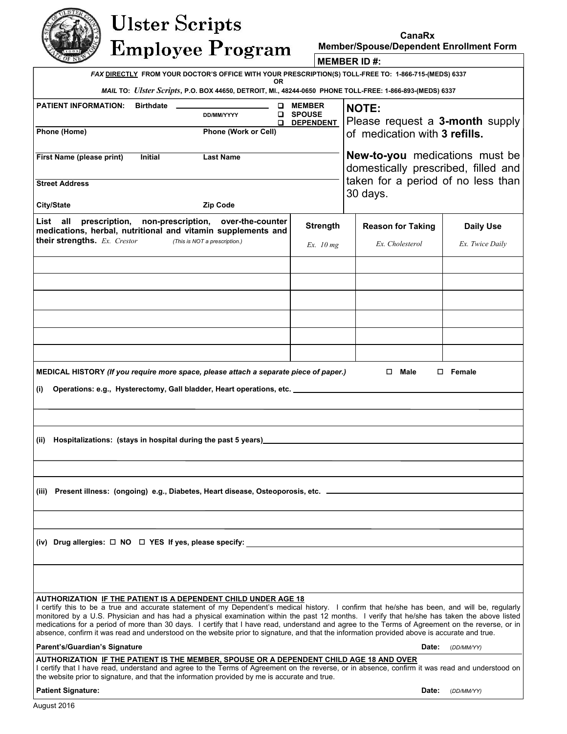# **Ulster Scripts Employee Program**

**Member/Spouse/Dependent Enrollment Form** 

*FAX* **DIRECTLY FROM YOUR DOCTOR'S OFFICE WITH YOUR PRESCRIPTION(S) TOLL-FREE TO: 1-866-715-(MEDS) 6337 OR MEMBER ID #:** 

*MAIL* **TO:** *Ulster Scripts***, P.O. BOX 44650, DETROIT, MI., 48244-0650 PHONE TOLL-FREE: 1-866-893-(MEDS) 6337** 

| MAIL TO: <i>Ulster Scripts</i> , P.O. BOX 44650, DETROIT, MI., 48244-0650 PHONE TOLL-FREE: 1-866-893-(MEDS) 6337                                                                                                                                                                                                                                                                                                                                                                                                                                                                                                                                                 |                                                          |                                                                              |                                     |  |  |  |  |
|------------------------------------------------------------------------------------------------------------------------------------------------------------------------------------------------------------------------------------------------------------------------------------------------------------------------------------------------------------------------------------------------------------------------------------------------------------------------------------------------------------------------------------------------------------------------------------------------------------------------------------------------------------------|----------------------------------------------------------|------------------------------------------------------------------------------|-------------------------------------|--|--|--|--|
| <b>PATIENT INFORMATION:</b><br>Birthdate _______________________<br><b>DD/MM/YYYY</b>                                                                                                                                                                                                                                                                                                                                                                                                                                                                                                                                                                            | <b>Q</b> MEMBER<br><b>Q</b> SPOUSE<br><b>Q</b> DEPENDENT | <b>NOTE:</b><br>Please request a 3-month supply                              |                                     |  |  |  |  |
| Phone (Home)<br>Phone (Work or Cell)                                                                                                                                                                                                                                                                                                                                                                                                                                                                                                                                                                                                                             |                                                          | of medication with 3 refills.                                                |                                     |  |  |  |  |
| <b>First Name (please print)</b><br>Initial<br><b>Last Name</b>                                                                                                                                                                                                                                                                                                                                                                                                                                                                                                                                                                                                  |                                                          | <b>New-to-you</b> medications must be<br>domestically prescribed, filled and |                                     |  |  |  |  |
| <b>Street Address</b>                                                                                                                                                                                                                                                                                                                                                                                                                                                                                                                                                                                                                                            |                                                          | taken for a period of no less than<br>30 days.                               |                                     |  |  |  |  |
| <b>City/State</b><br>Zip Code                                                                                                                                                                                                                                                                                                                                                                                                                                                                                                                                                                                                                                    |                                                          |                                                                              |                                     |  |  |  |  |
| List all prescription, non-prescription, over-the-counter<br>medications, herbal, nutritional and vitamin supplements and<br><b>their strengths.</b> Ex. Crestor (This is NOT a prescription.)                                                                                                                                                                                                                                                                                                                                                                                                                                                                   | <b>Strength</b><br>Ex. $10 mg$                           | <b>Reason for Taking</b><br>Ex. Cholesterol                                  | <b>Daily Use</b><br>Ex. Twice Daily |  |  |  |  |
|                                                                                                                                                                                                                                                                                                                                                                                                                                                                                                                                                                                                                                                                  |                                                          |                                                                              |                                     |  |  |  |  |
|                                                                                                                                                                                                                                                                                                                                                                                                                                                                                                                                                                                                                                                                  |                                                          |                                                                              |                                     |  |  |  |  |
|                                                                                                                                                                                                                                                                                                                                                                                                                                                                                                                                                                                                                                                                  |                                                          |                                                                              |                                     |  |  |  |  |
|                                                                                                                                                                                                                                                                                                                                                                                                                                                                                                                                                                                                                                                                  |                                                          |                                                                              |                                     |  |  |  |  |
|                                                                                                                                                                                                                                                                                                                                                                                                                                                                                                                                                                                                                                                                  |                                                          |                                                                              |                                     |  |  |  |  |
|                                                                                                                                                                                                                                                                                                                                                                                                                                                                                                                                                                                                                                                                  |                                                          |                                                                              |                                     |  |  |  |  |
| MEDICAL HISTORY (If you require more space, please attach a separate piece of paper.)<br>$\square$ Male<br>$\square$ Female                                                                                                                                                                                                                                                                                                                                                                                                                                                                                                                                      |                                                          |                                                                              |                                     |  |  |  |  |
| Operations: e.g., Hysterectomy, Gall bladder, Heart operations, etc. ______________________________<br>(i)                                                                                                                                                                                                                                                                                                                                                                                                                                                                                                                                                       |                                                          |                                                                              |                                     |  |  |  |  |
|                                                                                                                                                                                                                                                                                                                                                                                                                                                                                                                                                                                                                                                                  |                                                          |                                                                              |                                     |  |  |  |  |
| Hospitalizations: (stays in hospital during the past 5 years)<br>Mospitalizations: (stays in hospital during the past 5 years)<br>Mospitalizations: (stays in hospital during the past 5 years)<br>(ii)                                                                                                                                                                                                                                                                                                                                                                                                                                                          |                                                          |                                                                              |                                     |  |  |  |  |
|                                                                                                                                                                                                                                                                                                                                                                                                                                                                                                                                                                                                                                                                  |                                                          |                                                                              |                                     |  |  |  |  |
|                                                                                                                                                                                                                                                                                                                                                                                                                                                                                                                                                                                                                                                                  |                                                          |                                                                              |                                     |  |  |  |  |
| (iii) Present illness: (ongoing) e.g., Diabetes, Heart disease, Osteoporosis, etc. _________________                                                                                                                                                                                                                                                                                                                                                                                                                                                                                                                                                             |                                                          |                                                                              |                                     |  |  |  |  |
|                                                                                                                                                                                                                                                                                                                                                                                                                                                                                                                                                                                                                                                                  |                                                          |                                                                              |                                     |  |  |  |  |
|                                                                                                                                                                                                                                                                                                                                                                                                                                                                                                                                                                                                                                                                  |                                                          |                                                                              |                                     |  |  |  |  |
| (iv) Drug allergies: $\Box$ NO $\Box$ YES If yes, please specify:                                                                                                                                                                                                                                                                                                                                                                                                                                                                                                                                                                                                |                                                          |                                                                              |                                     |  |  |  |  |
|                                                                                                                                                                                                                                                                                                                                                                                                                                                                                                                                                                                                                                                                  |                                                          |                                                                              |                                     |  |  |  |  |
| AUTHORIZATION IF THE PATIENT IS A DEPENDENT CHILD UNDER AGE 18<br>I certify this to be a true and accurate statement of my Dependent's medical history. I confirm that he/she has been, and will be, regularly<br>monitored by a U.S. Physician and has had a physical examination within the past 12 months. I verify that he/she has taken the above listed<br>medications for a period of more than 30 days. I certify that I have read, understand and agree to the Terms of Agreement on the reverse, or in<br>absence, confirm it was read and understood on the website prior to signature, and that the information provided above is accurate and true. |                                                          |                                                                              |                                     |  |  |  |  |
| Parent's/Guardian's Signature<br>Date:<br>(DD/MM/YY)                                                                                                                                                                                                                                                                                                                                                                                                                                                                                                                                                                                                             |                                                          |                                                                              |                                     |  |  |  |  |
| AUTHORIZATION IF THE PATIENT IS THE MEMBER, SPOUSE OR A DEPENDENT CHILD AGE 18 AND OVER<br>I certify that I have read, understand and agree to the Terms of Agreement on the reverse, or in absence, confirm it was read and understood on<br>the website prior to signature, and that the information provided by me is accurate and true.                                                                                                                                                                                                                                                                                                                      |                                                          |                                                                              |                                     |  |  |  |  |
| <b>Patient Signature:</b>                                                                                                                                                                                                                                                                                                                                                                                                                                                                                                                                                                                                                                        |                                                          | Date:                                                                        | (DD/MM/YY)                          |  |  |  |  |